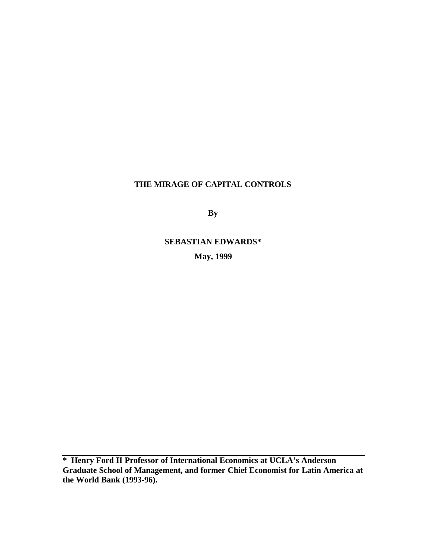# **THE MIRAGE OF CAPITAL CONTROLS**

**By**

**SEBASTIAN EDWARDS\* May, 1999**

**\* Henry Ford II Professor of International Economics at UCLA's Anderson Graduate School of Management, and former Chief Economist for Latin America at the World Bank (1993-96).**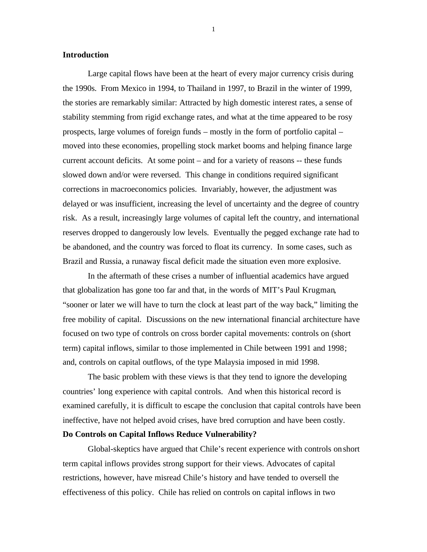## **Introduction**

Large capital flows have been at the heart of every major currency crisis during the 1990s. From Mexico in 1994, to Thailand in 1997, to Brazil in the winter of 1999, the stories are remarkably similar: Attracted by high domestic interest rates, a sense of stability stemming from rigid exchange rates, and what at the time appeared to be rosy prospects, large volumes of foreign funds – mostly in the form of portfolio capital – moved into these economies, propelling stock market booms and helping finance large current account deficits. At some point – and for a variety of reasons -- these funds slowed down and/or were reversed. This change in conditions required significant corrections in macroeconomics policies. Invariably, however, the adjustment was delayed or was insufficient, increasing the level of uncertainty and the degree of country risk. As a result, increasingly large volumes of capital left the country, and international reserves dropped to dangerously low levels. Eventually the pegged exchange rate had to be abandoned, and the country was forced to float its currency. In some cases, such as Brazil and Russia, a runaway fiscal deficit made the situation even more explosive.

In the aftermath of these crises a number of influential academics have argued that globalization has gone too far and that, in the words of MIT's Paul Krugman, "sooner or later we will have to turn the clock at least part of the way back," limiting the free mobility of capital. Discussions on the new international financial architecture have focused on two type of controls on cross border capital movements: controls on (short term) capital inflows, similar to those implemented in Chile between 1991 and 1998; and, controls on capital outflows, of the type Malaysia imposed in mid 1998.

The basic problem with these views is that they tend to ignore the developing countries' long experience with capital controls. And when this historical record is examined carefully, it is difficult to escape the conclusion that capital controls have been ineffective, have not helped avoid crises, have bred corruption and have been costly.

## **Do Controls on Capital Inflows Reduce Vulnerability?**

Global-skeptics have argued that Chile's recent experience with controls onshort term capital inflows provides strong support for their views. Advocates of capital restrictions, however, have misread Chile's history and have tended to oversell the effectiveness of this policy. Chile has relied on controls on capital inflows in two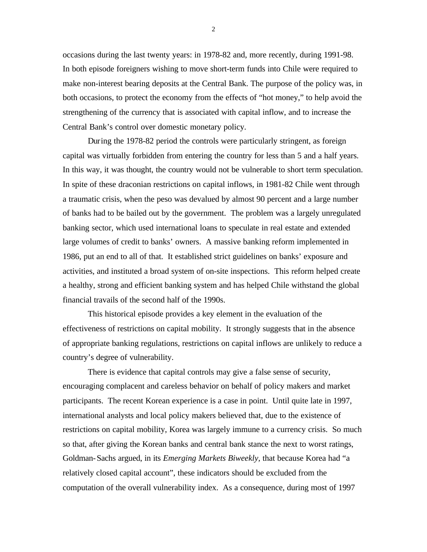occasions during the last twenty years: in 1978-82 and, more recently, during 1991-98. In both episode foreigners wishing to move short-term funds into Chile were required to make non-interest bearing deposits at the Central Bank. The purpose of the policy was, in both occasions, to protect the economy from the effects of "hot money," to help avoid the strengthening of the currency that is associated with capital inflow, and to increase the Central Bank's control over domestic monetary policy.

During the 1978-82 period the controls were particularly stringent, as foreign capital was virtually forbidden from entering the country for less than 5 and a half years. In this way, it was thought, the country would not be vulnerable to short term speculation. In spite of these draconian restrictions on capital inflows, in 1981-82 Chile went through a traumatic crisis, when the peso was devalued by almost 90 percent and a large number of banks had to be bailed out by the government. The problem was a largely unregulated banking sector, which used international loans to speculate in real estate and extended large volumes of credit to banks' owners. A massive banking reform implemented in 1986, put an end to all of that. It established strict guidelines on banks' exposure and activities, and instituted a broad system of on-site inspections. This reform helped create a healthy, strong and efficient banking system and has helped Chile withstand the global financial travails of the second half of the 1990s.

This historical episode provides a key element in the evaluation of the effectiveness of restrictions on capital mobility. It strongly suggests that in the absence of appropriate banking regulations, restrictions on capital inflows are unlikely to reduce a country's degree of vulnerability.

There is evidence that capital controls may give a false sense of security, encouraging complacent and careless behavior on behalf of policy makers and market participants. The recent Korean experience is a case in point. Until quite late in 1997, international analysts and local policy makers believed that, due to the existence of restrictions on capital mobility, Korea was largely immune to a currency crisis. So much so that, after giving the Korean banks and central bank stance the next to worst ratings, Goldman-Sachs argued, in its *Emerging Markets Biweekly,* that because Korea had "a relatively closed capital account", these indicators should be excluded from the computation of the overall vulnerability index. As a consequence, during most of 1997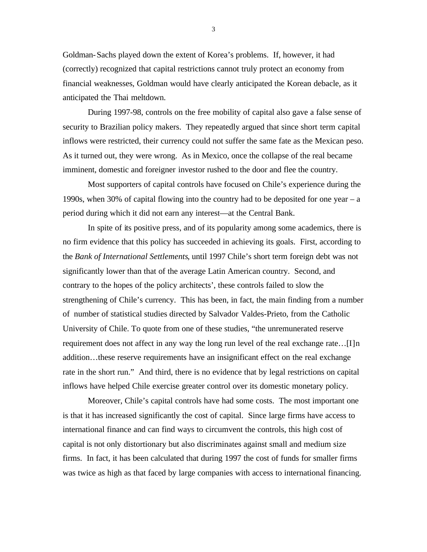Goldman-Sachs played down the extent of Korea's problems. If, however, it had (correctly) recognized that capital restrictions cannot truly protect an economy from financial weaknesses, Goldman would have clearly anticipated the Korean debacle, as it anticipated the Thai meltdown.

During 1997-98, controls on the free mobility of capital also gave a false sense of security to Brazilian policy makers. They repeatedly argued that since short term capital inflows were restricted, their currency could not suffer the same fate as the Mexican peso. As it turned out, they were wrong. As in Mexico, once the collapse of the real became imminent, domestic and foreigner investor rushed to the door and flee the country.

Most supporters of capital controls have focused on Chile's experience during the 1990s, when 30% of capital flowing into the country had to be deposited for one year – a period during which it did not earn any interest—at the Central Bank.

In spite of its positive press, and of its popularity among some academics, there is no firm evidence that this policy has succeeded in achieving its goals. First, according to the *Bank of International Settlements*, until 1997 Chile's short term foreign debt was not significantly lower than that of the average Latin American country. Second, and contrary to the hopes of the policy architects', these controls failed to slow the strengthening of Chile's currency. This has been, in fact, the main finding from a number of number of statistical studies directed by Salvador Valdes-Prieto, from the Catholic University of Chile. To quote from one of these studies, "the unremunerated reserve requirement does not affect in any way the long run level of the real exchange rate…[I]n addition…these reserve requirements have an insignificant effect on the real exchange rate in the short run." And third, there is no evidence that by legal restrictions on capital inflows have helped Chile exercise greater control over its domestic monetary policy.

Moreover, Chile's capital controls have had some costs. The most important one is that it has increased significantly the cost of capital. Since large firms have access to international finance and can find ways to circumvent the controls, this high cost of capital is not only distortionary but also discriminates against small and medium size firms. In fact, it has been calculated that during 1997 the cost of funds for smaller firms was twice as high as that faced by large companies with access to international financing.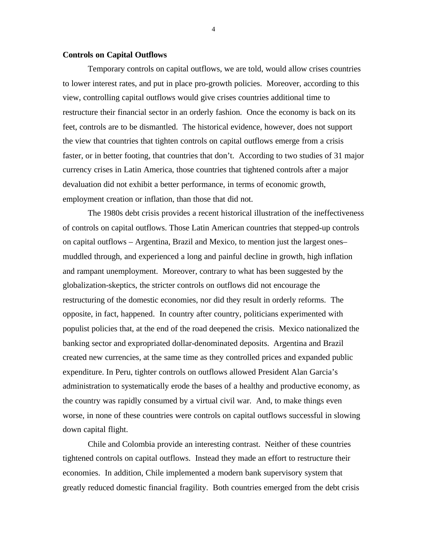#### **Controls on Capital Outflows**

Temporary controls on capital outflows, we are told, would allow crises countries to lower interest rates, and put in place pro-growth policies. Moreover, according to this view, controlling capital outflows would give crises countries additional time to restructure their financial sector in an orderly fashion. Once the economy is back on its feet, controls are to be dismantled. The historical evidence, however, does not support the view that countries that tighten controls on capital outflows emerge from a crisis faster, or in better footing, that countries that don't. According to two studies of 31 major currency crises in Latin America, those countries that tightened controls after a major devaluation did not exhibit a better performance, in terms of economic growth, employment creation or inflation, than those that did not.

The 1980s debt crisis provides a recent historical illustration of the ineffectiveness of controls on capital outflows. Those Latin American countries that stepped-up controls on capital outflows – Argentina, Brazil and Mexico, to mention just the largest ones– muddled through, and experienced a long and painful decline in growth, high inflation and rampant unemployment. Moreover, contrary to what has been suggested by the globalization-skeptics, the stricter controls on outflows did not encourage the restructuring of the domestic economies, nor did they result in orderly reforms. The opposite, in fact, happened. In country after country, politicians experimented with populist policies that, at the end of the road deepened the crisis. Mexico nationalized the banking sector and expropriated dollar-denominated deposits. Argentina and Brazil created new currencies, at the same time as they controlled prices and expanded public expenditure. In Peru, tighter controls on outflows allowed President Alan Garcia's administration to systematically erode the bases of a healthy and productive economy, as the country was rapidly consumed by a virtual civil war. And, to make things even worse, in none of these countries were controls on capital outflows successful in slowing down capital flight.

Chile and Colombia provide an interesting contrast. Neither of these countries tightened controls on capital outflows. Instead they made an effort to restructure their economies. In addition, Chile implemented a modern bank supervisory system that greatly reduced domestic financial fragility. Both countries emerged from the debt crisis